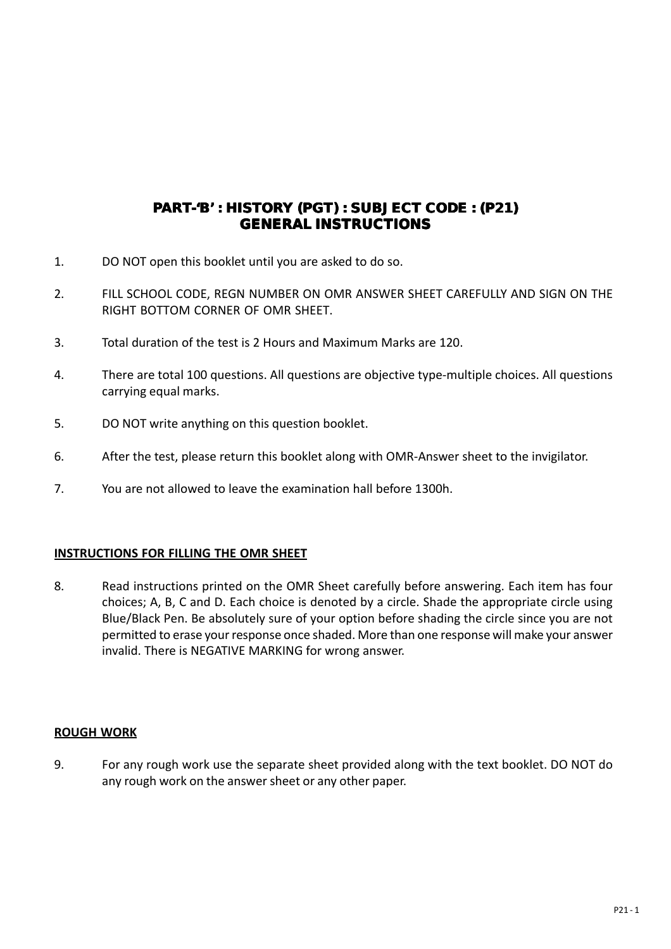## PART-'B' : HISTORY (PGT) : SUBJECT CODE : (P21) **GENERAL INSTRUCTIONS**

- 1. DO NOT open this booklet until you are asked to do so.
- 2. FILL SCHOOL CODE, REGN NUMBER ON OMR ANSWER SHEET CAREFULLY AND SIGN ON THE RIGHT BOTTOM CORNER OF OMR SHEET.
- 3. Total duration of the test is 2 Hours and Maximum Marks are 120.
- 4. There are total 100 questions. All questions are objective type-multiple choices. All questions carrying equal marks.
- 5. DO NOT write anything on this question booklet.
- 6. After the test, please return this booklet along with OMR-Answer sheet to the invigilator.
- 7. You are not allowed to leave the examination hall before 1300h.

## **INSTRUCTIONS FOR FILLING THE OMR SHEET**

8. Read instructions printed on the OMR Sheet carefully before answering. Each item has four choices; A, B, C and D. Each choice is denoted by a circle. Shade the appropriate circle using Blue/Black Pen. Be absolutely sure of your option before shading the circle since you are not permitted to erase your response once shaded. More than one response will make your answer invalid. There is NEGATIVE MARKING for wrong answer.

## **ROUGH WORK**

9. For any rough work use the separate sheet provided along with the text booklet. DO NOT do any rough work on the answer sheet or any other paper.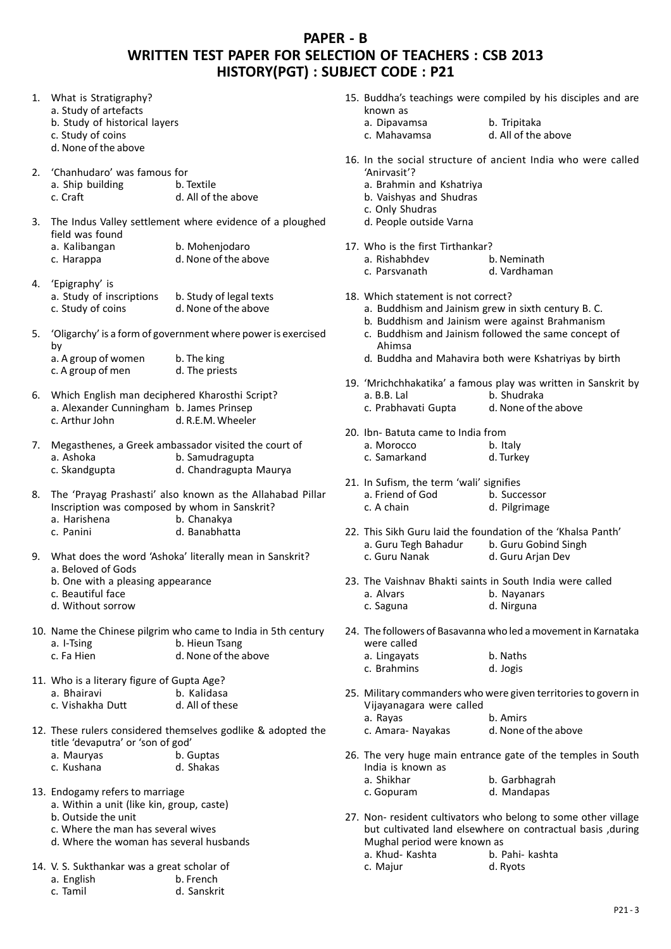## **PAPER - B WRITTEN TEST PAPER FOR SELECTION OF TEACHERS : CSB 2013 HISTORY(PGT) : SUBJECT CODE : P21**

- 1. What is Stratigraphy? a. Study of artefacts b. Study of historical layers c. Study of coins d. None of the above 2. 'Chanhudaro' was famous for<br>a Shin huilding b Textile a. Ship building<br>c. Craft d. All of the above 3. The Indus Valley settlement where evidence of a ploughed field was found a. Kalibangan b. Mohenjodaro c. Harappa d. None of the above 4. 'Epigraphy' is b. Study of legal texts c. Study of coins d. None of the above 5. 'Oligarchy' is a form of government where power is exercised by a. A group of women b. The king<br>c. A group of men d. The priests  $c.$  A group of men 6. Which English man deciphered Kharosthi Script? a. Alexander Cunningham b. James Prinsep c. Arthur John d. R.E.M. Wheeler 7. Megasthenes, a Greek ambassador visited the court of a. Ashoka b. Samudragupta<br>c. Skandgupta d. Chandragupta d. Chandragupta Maurya 8. The 'Prayag Prashasti' also known as the Allahabad Pillar Inscription was composed by whom in Sanskrit? a. Harishena<br>c. Panini d. Banabhatta 9. What does the word 'Ashoka' literally mean in Sanskrit? a. Beloved of Gods b. One with a pleasing appearance c. Beautiful face d. Without sorrow 10. Name the Chinese pilgrim who came to India in 5th century a. I-Tsing b. Hieun Tsang<br>
c. Fa Hien d. None of the a d. None of the above 11. Who is a literary figure of Gupta Age?<br>a. Bhairavi b. Kalidasa b. Kalidasa c. Vishakha Dutt d. All of these 12. These rulers considered themselves godlike & adopted the title 'devaputra' or 'son of god' a. Mauryas b. Guptas<br>c. Kushana b. Ghakas c. Kushana 13. Endogamy refers to marriage 15. Buddha's teachings were compiled by his disciples and are known as a. Dipavamsa b. Tripitaka<br>c. Mahayamsa d. All of the d. All of the above 16. In the social structure of ancient India who were called 'Anirvasit'? a. Brahmin and Kshatriya b. Vaishyas and Shudras c. Only Shudras d. People outside Varna 17. Who is the first Tirthankar? a. Rishabhdev b. Neminath c. Parsvanath d. Vardhaman 18. Which statement is not correct? a. Buddhism and Jainism grew in sixth century B. C. b. Buddhism and Jainism were against Brahmanism c. Buddhism and Jainism followed the same concept of Ahimsa d. Buddha and Mahavira both were Kshatriyas by birth 19. 'Mrichchhakatika' a famous play was written in Sanskrit by a. B.B. Lal b. Shudraka c. Prabhavati Gupta d. None of the above 20. Ibn- Batuta came to India from a. Morocco b. Italy c. Samarkand d. Turkey 21. In Sufism, the term 'wali' signifies<br>a. Friend of God b. Successor a. Friend of God<br>c. A chain d. Pilgrimage 22. This Sikh Guru laid the foundation of the 'Khalsa Panth'<br>a. Guru Tegh Bahadur b. Guru Gobind Singh a. Guru Tegh Bahadur c. Guru Nanak d. Guru Arjan Dev 23. The Vaishnav Bhakti saints in South India were called a. Alvars b. Nayanars c. Saguna d. Nirguna 24. The followers of Basavanna who led a movement in Karnataka were called a. Lingayats b. Naths c. Brahmins d. Jogis 25. Military commanders who were given territories to govern in Vijayanagara were called a. Rayas b. Amirs<br>c. Amara- Navakas d. None of the above c. Amara- Nayakas 26. The very huge main entrance gate of the temples in South India is known as a. Shikhar b. Garbhagrah<br>c. Gopuram d. Mandapas d. Mandapas
	- 27. Non- resident cultivators who belong to some other village but cultivated land elsewhere on contractual basis ,during Mughal period were known as

| a. Khud- Kashta | b. Pahi- kashta |
|-----------------|-----------------|
| c. Majur        | d. Ryots        |

14. V. S. Sukthankar was a great scholar of a. English b. French

b. Outside the unit

c. Tamil d. Sanskrit

a. Within a unit (like kin, group, caste)

c. Where the man has several wives d. Where the woman has several husbands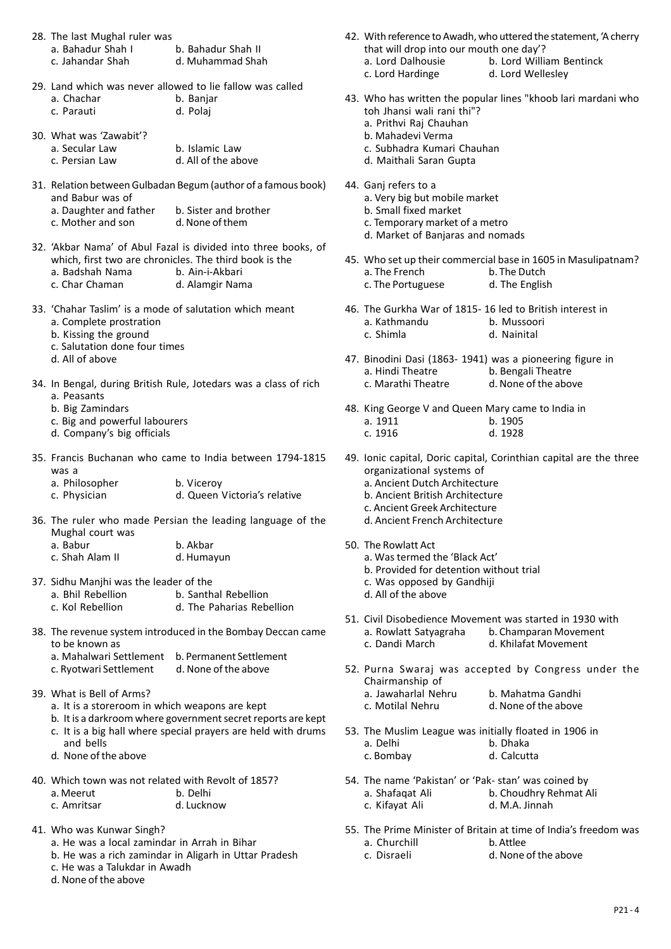| 28. The last Mughal ruler was |                    |
|-------------------------------|--------------------|
| a. Bahadur Shah I             | b. Bahadur Shah II |
| c. Jahandar Shah              | d. Muhammad Shah   |
|                               |                    |

- 29. Land which was never allowed to lie fallow was called a. Chachar b. Banjar c. Parauti d. Polaj
- 30. What was 'Zawabit'? a. Secular Law b. Islamic Law

| - - - - - - - - - - - - - - - | .                   |
|-------------------------------|---------------------|
| c. Persian Law                | d. All of the above |
|                               |                     |

- 31. Relation between Gulbadan Begum (author of a famous book) and Babur was of
	- a. Daughter and father b. Sister and brother<br>c. Mother and son d. None of them c. Mother and son
- 32. 'Akbar Nama' of Abul Fazal is divided into three books, of which, first two are chronicles. The third book is the<br>a. Badshah Nama b. Ain-i-Akbari a. Badshah Nama
	- c. Char Chaman d. Alamgir Nama
- 33. 'Chahar Taslim' is a mode of salutation which meant
	- a. Complete prostration
	- b. Kissing the ground
	- c. Salutation done four times
	- d. All of above
- 34. In Bengal, during British Rule, Jotedars was a class of rich a. Peasants
	- b. Big Zamindars
	- c. Big and powerful labourers
	- d. Company's big officials
- 35. Francis Buchanan who came to India between 1794-1815 was a

| a. Philosopher | b. Viceroy                   |
|----------------|------------------------------|
| c. Physician   | d. Queen Victoria's relative |

36. The ruler who made Persian the leading language of the Mughal court was

| a. Babur        | b. Akbar   |
|-----------------|------------|
| c. Shah Alam II | d. Humayun |

37. Sidhu Manjhi was the leader of the

| a. Bhil Rebellion | b. Santhal Rebellion      |
|-------------------|---------------------------|
| c. Kol Rebellion  | d. The Paharias Rebellion |

- 38. The revenue system introduced in the Bombay Deccan came to be known as
	- a. Mahalwari Settlement b. Permanent Settlement
	- c. Ryotwari Settlement d. None of the above
- 39. What is Bell of Arms?
	- a. It is a storeroom in which weapons are kept
	- b. It is a darkroom where government secret reports are kept
	- c. It is a big hall where special prayers are held with drums and bells
	- d. None of the above
- 40. Which town was not related with Revolt of 1857?

| a. Meerut   | b. Delhi   |
|-------------|------------|
| c. Amritsar | d. Lucknow |

- 41. Who was Kunwar Singh?
	- a. He was a local zamindar in Arrah in Bihar
	- b. He was a rich zamindar in Aligarh in Uttar Pradesh
	- c. He was a Talukdar in Awadh
	- d. None of the above
- 42. With reference to Awadh, who uttered the statement, 'A cherry that will drop into our mouth one day'? a. Lord Dalhousie b. Lord William Bentinck<br>c. Lord Hardinge d. Lord Wellesley
	- d. Lord Wellesley
- 43. Who has written the popular lines "khoob lari mardani who toh Jhansi wali rani thi"?
	- a. Prithvi Raj Chauhan
	- b. Mahadevi Verma
	- c. Subhadra Kumari Chauhan
	- d. Maithali Saran Gupta
- 44. Ganj refers to a
	- a. Very big but mobile market
	- b. Small fixed market
	- c. Temporary market of a metro
	- d. Market of Banjaras and nomads
- 45. Who set up their commercial base in 1605 in Masulipatnam? a. The French c. The Portuguese d. The English
- 46. The Gurkha War of 1815- 16 led to British interest in a. Kathmandu b. Mussoori<br>
c. Shimla d. Nainital
	- d. Nainital
- 47. Binodini Dasi (1863- 1941) was a pioneering figure in a. Hindi Theatre b. Bengali Theatre<br>c. Marathi Theatre d. None of the above d. None of the above
- 48. King George V and Queen Mary came to India in b. 1905 c. 1916 d. 1928
- 49. Ionic capital, Doric capital, Corinthian capital are the three organizational systems of a. Ancient Dutch Architecture b. Ancient British Architecture c. Ancient Greek Architecture
	- d. Ancient French Architecture
- 50. The Rowlatt Act
	- a. Was termed the 'Black Act'
		- b. Provided for detention without trial
		- c. Was opposed by Gandhiji
		- d. All of the above
- 51. Civil Disobedience Movement was started in 1930 with a. Rowlatt Satyagraha b. Champaran Movement c. Dandi March d. Khilafat Movement
- 52. Purna Swaraj was accepted by Congress under the Chairmanship of a. Jawaharlal Nehru b. Mahatma Gandhi
	- c. Motilal Nehru d. None of the above
- 53. The Muslim League was initially floated in 1906 in a. Delhi b. Dhaka c. Bombay d. Calcutta
- 54. The name 'Pakistan' or 'Pak- stan' was coined by a. Shafaqat Ali b. Choudhry Rehmat Ali c. Kifayat Ali d. M.A. Jinnah
- 55. The Prime Minister of Britain at time of India's freedom was a. Churchill b. Attlee
	- c. Disraeli d. None of the above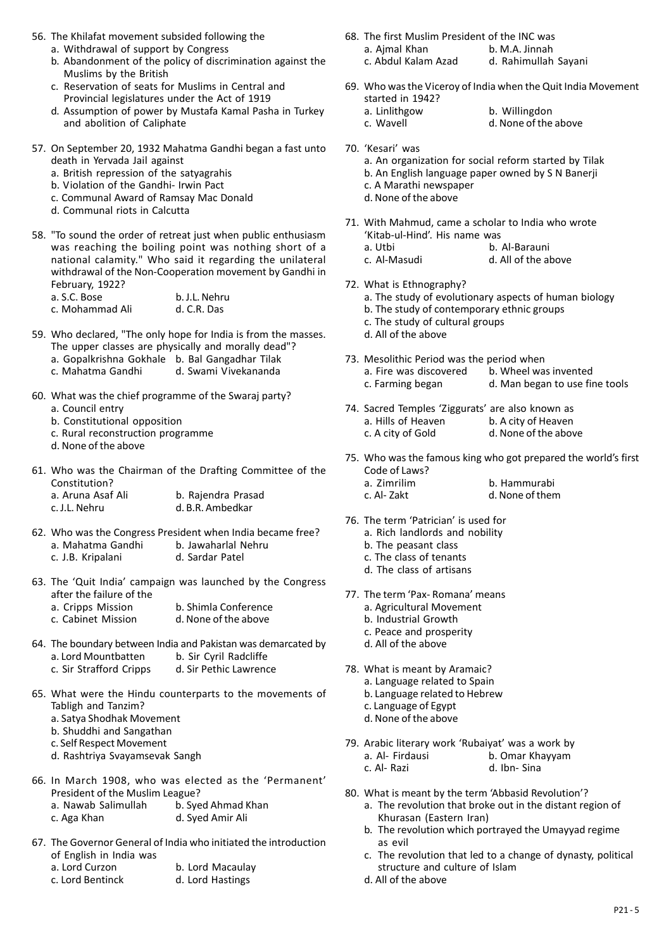- 56. The Khilafat movement subsided following the
	- a. Withdrawal of support by Congress
	- b. Abandonment of the policy of discrimination against the Muslims by the British
	- c. Reservation of seats for Muslims in Central and Provincial legislatures under the Act of 1919
	- d. Assumption of power by Mustafa Kamal Pasha in Turkey and abolition of Caliphate
- 57. On September 20, 1932 Mahatma Gandhi began a fast unto death in Yervada Jail against
	- a. British repression of the satyagrahis
	- b. Violation of the Gandhi- Irwin Pact
	- c. Communal Award of Ramsay Mac Donald
	- d. Communal riots in Calcutta
- 58. "To sound the order of retreat just when public enthusiasm was reaching the boiling point was nothing short of a national calamity." Who said it regarding the unilateral withdrawal of the Non-Cooperation movement by Gandhi in February, 1922?  $\frac{1}{2}$  a. S.C. Bose b. J.L. Nehru

| a. S.C. Bose    | b. J.L. Nehr |
|-----------------|--------------|
| c. Mohammad Ali | d. C.R. Das  |

- 59. Who declared, "The only hope for India is from the masses. The upper classes are physically and morally dead"?
	- a. Gopalkrishna Gokhale b. Bal Gangadhar Tilak
	- d. Swami Vivekananda
- 60. What was the chief programme of the Swaraj party?
	- a. Council entry
	- b. Constitutional opposition
	- c. Rural reconstruction programme
	- d. None of the above
- 61. Who was the Chairman of the Drafting Committee of the Constitution? a. Aruna Asaf Ali b. Rajendra Prasad

| a. Aruna Asaf All | b. Rajendra Prasad |
|-------------------|--------------------|
| c. J.L. Nehru     | d. B.R. Ambedkar   |
|                   |                    |

- 62. Who was the Congress President when India became free?<br>a. Mahatma Gandhi b. Jawaharlal Nehru a. Mahatma Gandhi b. Jawaharlal N<br>c. J.B. Kripalani d. Sardar Patel c. J.B. Kripalani
- 63. The 'Quit India' campaign was launched by the Congress after the failure of the
	- a. Cripps Mission b. Shimla Conference c. Cabinet Mission d. None of the above
- 64. The boundary between India and Pakistan was demarcated by a. Lord Mountbatten b. Sir Cyril Radcliffe
	- c. Sir Strafford Cripps d. Sir Pethic Lawrence
- 65. What were the Hindu counterparts to the movements of Tabligh and Tanzim?
	- a. Satya Shodhak Movement
	- b. Shuddhi and Sangathan
	- c. Self Respect Movement
	- d. Rashtriya Svayamsevak Sangh
- 66. In March 1908, who was elected as the 'Permanent' President of the Muslim League?
	- a. Nawab Salimullah b. Syed Ahmad Khan c. Aga Khan d. Syed Amir Ali
- 67. The Governor General of India who initiated the introduction of English in India was<br>a. Lord Curzon
	- b. Lord Macaulay
	- c. Lord Bentinck d. Lord Hastings
- 68. The first Muslim President of the INC was a. Ajmal Khan<br>c. Abdul Kalam Azad d. Rahimullah Sayani
- 69. Who was the Viceroy of India when the Quit India Movement
	- started in 1942?<br>a. Linlithgow a. Linlithgow b. Willingdon<br>
	c. Wavell d. None of the
		- d. None of the above
- 70. 'Kesari' was
	- a. An organization for social reform started by Tilak
	- b. An English language paper owned by S N Banerji
	- c. A Marathi newspaper
	- d. None of the above
- 71. With Mahmud, came a scholar to India who wrote 'Kitab-ul-Hind'. His name was
	- a. Utbi b. Al-Barauni<br>
	c. Al-Masudi c. All of the al
	- d. All of the above
- 72. What is Ethnography?
	- a. The study of evolutionary aspects of human biology
	- b. The study of contemporary ethnic groups
	- c. The study of cultural groups
	- d. All of the above
- 73. Mesolithic Period was the period when a. Fire was discovered b. Wheel was invented<br>c. Farming began d. Man began to use fire d. Man began to use fine tools
- 74. Sacred Temples 'Ziggurats' are also known as b. A city of Heaven c. A city of Gold d. None of the above
- 75. Who was the famous king who got prepared the world's first Code of Laws?
	- a. Zimrilim b. Hammurabi<br>c. Al- Zakt d. None of then d. None of them
- 76. The term 'Patrician' is used for
	- a. Rich landlords and nobility
	- b. The peasant class
	- c. The class of tenants
	- d. The class of artisans
- 77. The term 'Pax- Romana' means
	- a. Agricultural Movement
	- b. Industrial Growth
	- c. Peace and prosperity
	- d. All of the above
- 78. What is meant by Aramaic?
	- a. Language related to Spain
	- b. Language related to Hebrew
	- c. Language of Egypt
	- d. None of the above
- 79. Arabic literary work 'Rubaiyat' was a work by
	- a. Al- Firdausi b. Omar Khayyam
	- c. Al- Razi d. Ibn- Sina
- 80. What is meant by the term 'Abbasid Revolution'? a. The revolution that broke out in the distant region of Khurasan (Eastern Iran)
	- b. The revolution which portrayed the Umayyad regime as evil
	- c. The revolution that led to a change of dynasty, political structure and culture of Islam
	- d. All of the above